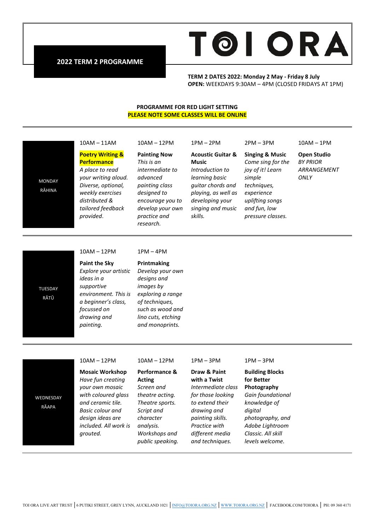

**2022 TERM 2 PROGRAMME**

#### **TERM 2 DATES 2022: Monday 2 May - Friday 8 July OPEN:** WEEKDAYS 9:30AM – 4PM (CLOSED FRIDAYS AT 1PM)

#### **PROGRAMME FOR RED LIGHT SETTING PLEASE NOTE SOME CLASSES WILL BE ONLINE**

## 10AM – 11AM

## **Poetry Writing & Performance**

*A place to read your writing aloud. Diverse, optional, weekly exercises distributed & provided*.

# 10AM – 12PM

### **Painting Now** *This is an intermediate to advanced painting class designed to encourage you to develop your own*

## **Acoustic Guitar & Music** *Introduction to learning basic guitar chords and playing, as well as developing your singing and music skills.*

1PM – 2PM

**Singing & Music** *Come sing for the joy of it! Learn simple techniques, experience uplifting songs and fun, low pressure classes.*

2PM – 3PM

10AM – 1PM

**Open Studio** *BY PRIOR ARRANGEMENT ONLY*

10AM – 12PM

**Paint the Sky** *Explore your artistic ideas in a supportive environment. This is a beginner's class, focussed on drawing and painting.*

#### 1PM – 4PM

*practice and research.*

## **Printmaking** *Develop your own designs and images by exploring a range of techniques, such as wood and lino cuts, etching and monoprints.*

#### 10AM – 12PM

### **Mosaic Workshop** *Have fun creating your own mosaic with coloured glass and ceramic tile. Basic colour and design ideas are included. All work is grouted.*

#### 10AM – 12PM

### **Performance & Acting** *Screen and*

*theatre acting. Theatre sports. Script and character analysis. Workshops and public speaking.*

#### 1PM – 3PM

*painting skills. Practice with different media and techniques.*

#### 1PM – 3PM

#### **Draw & Paint with a Twist** *Intermediate class for those looking to extend their drawing and*  **Building Blocks for Better Photography** *Gain foundational knowledge of*

*digital photography, and Adobe Lightroom Classic. All skill levels welcome.*

*tailored feedback*  RĀHINA

MONDAY

TUESDAY RĀTŪ

WEDNESDAY RĀAPA

TOI ORA LIVE ART TRUST │6 PUTIKI STREET, GREY LYNN, AUCKLAND 1021 │[INFO@TOIORA.ORG.NZ](mailto:INFO@TOIORA.ORG.NZ) │[WWW.TOIORA.ORG.NZ](http://www.toiora.org.nz/) │ FACEBOOK.COM/TOIORA │ PH: 09 360 4171